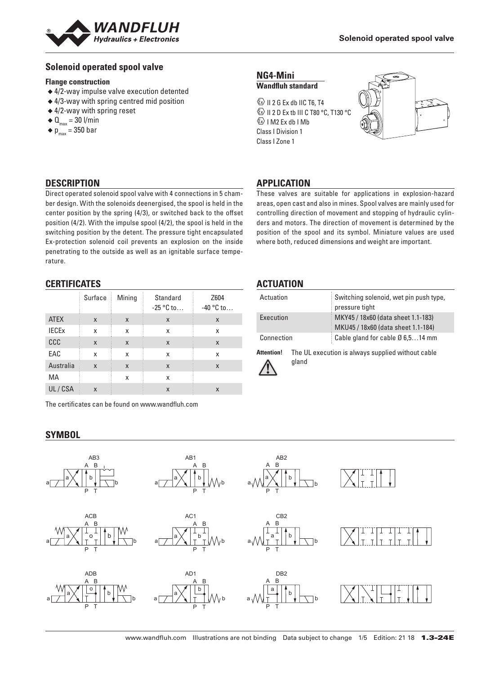

### **Solenoid operated spool valve**

#### **Flange construction**

- ◆ 4/2-way impulse valve execution detented
- ◆ 4/3-way with spring centred mid position
- ◆ 4/2-way with spring reset
- $\triangleleft$  Q<sub>max</sub> = 30 l/min
- $\bullet$  p<sub>max</sub> = 350 bar

#### **NG4-Mini Wandfluh standard**

 $\circledS$  II 2 G Ex db IIC T6, T4 **E**> II 2 D Ex tb III C T80 °C, T130 °C  $\circledS$  I M2 Ex db I Mb Class I Division 1 Class I Zone 1



# **DESCRIPTION**

Direct operated solenoid spool valve with 4 connections in 5 chamber design. With the solenoids deenergised, the spool is held in the center position by the spring (4/3), or switched back to the offset position (4/2). With the impulse spool (4/2), the spool is held in the switching position by the detent. The pressure tight encapsulated Ex-protection solenoid coil prevents an explosion on the inside penetrating to the outside as well as an ignitable surface temperature.

# **CERTIFICATES**

|              | Surface                   | Mining | Standard<br>$-25 °C$ to | Z604<br>$-40$ °C to |
|--------------|---------------------------|--------|-------------------------|---------------------|
| <b>ATEX</b>  | X                         | X      | X                       | X                   |
| <b>IECEX</b> | X                         | x      | x                       | X                   |
| ccc          | X                         | X      | X                       | X                   |
| EAC          | X                         | X      | X                       | X                   |
| Australia    | $\boldsymbol{\mathsf{x}}$ | X      | X                       | X                   |
| MA           |                           | x      | X                       |                     |
| UL/CSA       | X                         |        | X                       | X                   |

The certificates can be found on www.wandfluh.com

# **SYMBOL**



Ţ

**APPLICATION**

| Actuation         |       | Switching solenoid, wet pin push type,<br>pressure tight                 |
|-------------------|-------|--------------------------------------------------------------------------|
| Execution         |       | MKY45 / 18x60 (data sheet 1.1-183)<br>MKU45 / 18x60 (data sheet 1.1-184) |
| Connection        |       | Cable gland for cable $\varnothing$ 6,514 mm                             |
| <b>Attention!</b> | gland | The UL execution is always supplied without cable                        |

These valves are suitable for applications in explosion-hazard areas, open cast and also in mines. Spool valves are mainly used for controlling direction of movement and stopping of hydraulic cylinders and motors. The direction of movement is determined by the position of the spool and its symbol. Miniature values are used where both, reduced dimensions and weight are important.



www.wandfluh.com Illustrations are not binding Data subject to change 1/5 Edition: 21 18 1.3-24E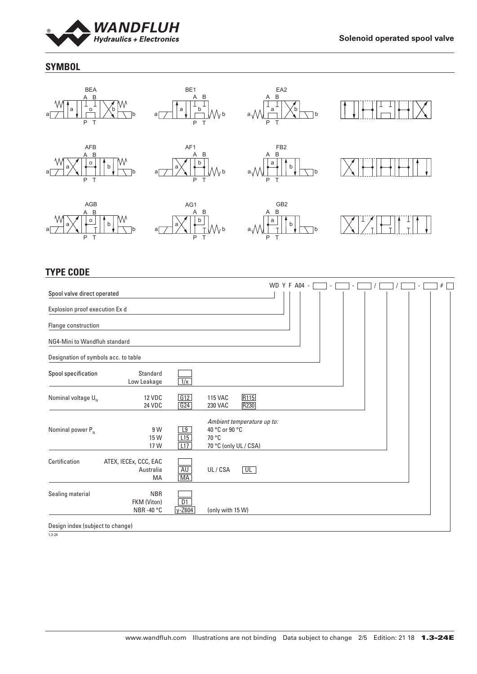

# **SYMBOL**



# **TYPE CODE**

|                                      |                                               |                               |                                                                                |                          |  | WD Y F A04 - |  |  |  |  | # |
|--------------------------------------|-----------------------------------------------|-------------------------------|--------------------------------------------------------------------------------|--------------------------|--|--------------|--|--|--|--|---|
| Spool valve direct operated          |                                               |                               |                                                                                |                          |  |              |  |  |  |  |   |
| Explosion proof execution Ex d       |                                               |                               |                                                                                |                          |  |              |  |  |  |  |   |
| Flange construction                  |                                               |                               |                                                                                |                          |  |              |  |  |  |  |   |
| NG4-Mini to Wandfluh standard        |                                               |                               |                                                                                |                          |  |              |  |  |  |  |   |
| Designation of symbols acc. to table |                                               |                               |                                                                                |                          |  |              |  |  |  |  |   |
| Spool specification                  | Standard<br>Low Leakage                       | 1/x                           |                                                                                |                          |  |              |  |  |  |  |   |
| Nominal voltage $U_{N}$              | 12 VDC<br><b>24 VDC</b>                       | G12<br>G24                    | <b>115 VAC</b><br><b>230 VAC</b>                                               | R115<br>R230             |  |              |  |  |  |  |   |
| Nominal power $P_{N}$                | 9 W<br>15 W<br>17 W                           | $\overline{19}$<br>L15<br>L17 | Ambient temperature up to:<br>40 °C or 90 °C<br>70 °C<br>70 °C (only UL / CSA) |                          |  |              |  |  |  |  |   |
| Certification                        | ATEX, IECEx, CCC, EAC<br>Australia<br>MA      | AU<br>MA                      | UL/CSA                                                                         | $\overline{\mathsf{UL}}$ |  |              |  |  |  |  |   |
| Sealing material                     | <b>NBR</b><br>FKM (Viton)<br><b>NBR-40 °C</b> | D1<br>$y-Z604$                | (only with 15 W)                                                               |                          |  |              |  |  |  |  |   |
| Docian indox (cubiost to shange)     |                                               |                               |                                                                                |                          |  |              |  |  |  |  |   |

Design index (subject to change)

1.3-24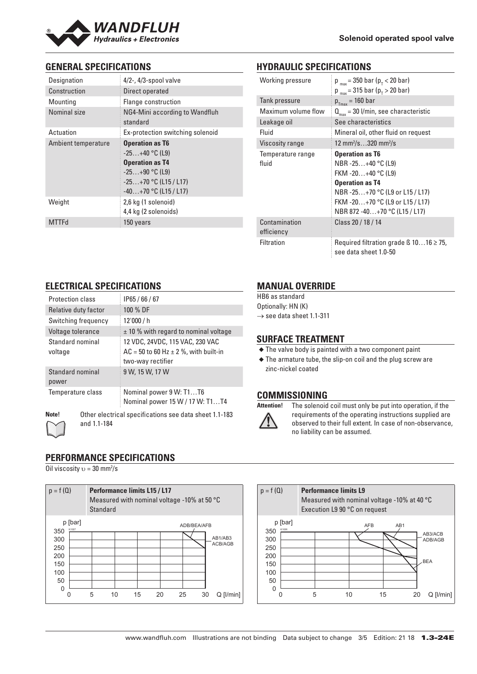

# **GENERAL SPECIFICATIONS**

| Designation         | $4/2$ -, $4/3$ -spool valve                                                                                                                    |
|---------------------|------------------------------------------------------------------------------------------------------------------------------------------------|
| Construction        | Direct operated                                                                                                                                |
| Mounting            | Flange construction                                                                                                                            |
| Nominal size        | NG4-Mini according to Wandfluh<br>standard                                                                                                     |
| Actuation           | Ex-protection switching solenoid                                                                                                               |
| Ambient temperature | <b>Operation as T6</b><br>$-25+40$ °C (L9)<br><b>Operation as T4</b><br>$-25+90$ °C (L9)<br>$-25+70$ °C (L15 / L17)<br>$-40+70$ °C (L15 / L17) |
| Weight              | 2,6 kg (1 solenoid)<br>4,4 kg (2 solenoids)                                                                                                    |
| <b>MTTFd</b>        | 150 years                                                                                                                                      |

# **HYDRAULIC SPECIFICATIONS**

| Working pressure    | $p_{max}$ = 350 bar ( $p_{\tau}$ < 20 bar)<br>$p_{max}$ = 315 bar ( $p_{T}$ > 20 bar) |
|---------------------|---------------------------------------------------------------------------------------|
| Tank pressure       | $p_{T_{max}}$ = 160 bar                                                               |
| Maximum volume flow | $Q_{\text{max}}$ = 30 l/min, see characteristic                                       |
| Leakage oil         | See characteristics                                                                   |
| Fluid               | Mineral oil, other fluid on request                                                   |
| Viscosity range     | 12 mm <sup>2</sup> /s320 mm <sup>2</sup> /s                                           |
| Temperature range   | <b>Operation as T6</b>                                                                |
| fluid               | NBR -25+40 °C (L9)                                                                    |
|                     | FKM -20+40 °C (L9)                                                                    |
|                     | <b>Operation as T4</b>                                                                |
|                     | NBR -25+70 °C (L9 or L15 / L17)                                                       |
|                     | FKM -20+70 °C (L9 or L15 / L17)                                                       |
|                     | NBR 872 -40+70 °C (L15 / L17)                                                         |
| Contamination       | Class 20 / 18 / 14                                                                    |
| efficiency          |                                                                                       |
| <b>Filtration</b>   | Required filtration grade $\beta$ 1016 $\geq$ 75,<br>see data sheet 1.0-50            |

# **ELECTRICAL SPECIFICATIONS**

| Protection class            | IP65/66/67                                                                                          |
|-----------------------------|-----------------------------------------------------------------------------------------------------|
| Relative duty factor        | 100 % DF                                                                                            |
| Switching frequency         | 12'000/h                                                                                            |
| Voltage tolerance           | $\pm$ 10 % with regard to nominal voltage                                                           |
| Standard nominal<br>voltage | 12 VDC, 24VDC, 115 VAC, 230 VAC<br>$AC = 50$ to 60 Hz $\pm$ 2 %, with built-in<br>two-way rectifier |
| Standard nominal<br>power   | 9 W, 15 W, 17 W                                                                                     |
| Temperature class           | Nominal power 9 W: T1T6<br>Nominal power 15 W / 17 W: T1T4                                          |
| Note!<br>and 1.1-184        | Other electrical specifications see data sheet 1.1-183                                              |

# **PERFORMANCE SPECIFICATIONS**

Oil viscosity  $v = 30$  mm<sup>2</sup>/s



# **MANUAL OVERRIDE**

HB6 as standard Optionally: HN (K)  $\rightarrow$  see data sheet 1.1-311

### **SURFACE TREATMENT**

◆ The valve body is painted with a two component paint

◆ The armature tube, the slip-on coil and the plug screw are zinc-nickel coated

# **COMMISSIONING**



**Attention!** The solenoid coil must only be put into operation, if the requirements of the operating instructions supplied are observed to their full extent. In case of non-observance, no liability can be assumed.

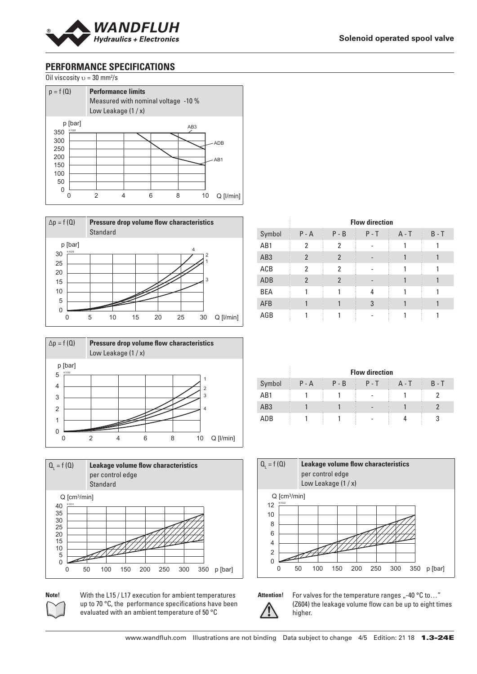

# **PERFORMANCE SPECIFICATIONS**

Oil viscosity  $v = 30$  mm<sup>2</sup>/s









**Note!** With the L15 / L17 execution for ambient temperatures up to 70 °C, the performance specifications have been evaluated with an ambient temperature of 50 °C

|                 |                |                | <b>Flow direction</b> |         |         |
|-----------------|----------------|----------------|-----------------------|---------|---------|
| Symbol          | $P - A$        | $P - B$        | $P - T$               | $A - T$ | $B - T$ |
| AB1             | 2              | 2              |                       |         |         |
| AB <sub>3</sub> | $\overline{2}$ | $\overline{2}$ |                       |         |         |
| ACB             | 2              | 2              |                       |         |         |
| ADB             | $\overline{2}$ | $\overline{2}$ |                       |         |         |
| <b>BEA</b>      |                |                | 4                     |         |         |
| <b>AFB</b>      |                |                | 3                     |         |         |
| AGB             |                |                |                       |         |         |

|                 |         |         | <b>Flow direction</b>        |         |         |
|-----------------|---------|---------|------------------------------|---------|---------|
| Symbol          | $P - A$ | $P - B$ | $P - T$                      | $A - T$ | $B - T$ |
| AB1             |         |         |                              |         |         |
| AB <sub>3</sub> |         |         | $\qquad \qquad \blacksquare$ |         |         |
| ADB             |         |         |                              |         | R       |





Attention! For valves for the temperature ranges <sub>n</sub>-40 °C to..." (Z604) the leakage volume flow can be up to eight times higher.